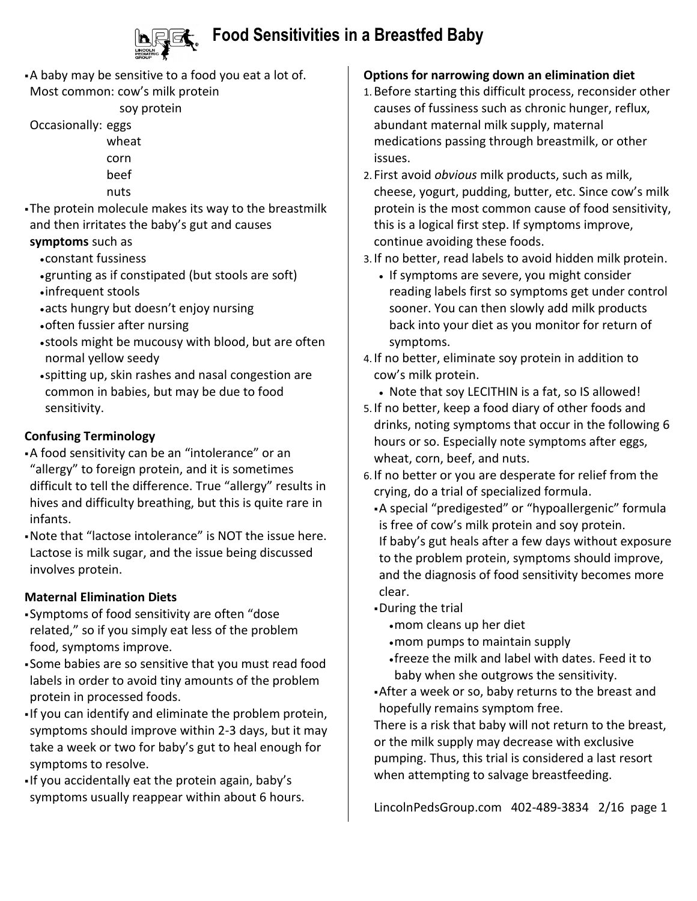

## **Food Sensitivities in a Breastfed Baby**

A baby may be sensitive to a food you eat a lot of. Most common: cow's milk protein

soy protein

Occasionally: eggs

- wheat corn
- beef
- nuts
- The protein molecule makes its way to the breastmilk and then irritates the baby's gut and causes **symptoms** such as
	- constant fussiness
	- grunting as if constipated (but stools are soft)
	- infrequent stools
	- acts hungry but doesn't enjoy nursing
	- often fussier after nursing
	- stools might be mucousy with blood, but are often normal yellow seedy
	- spitting up, skin rashes and nasal congestion are common in babies, but may be due to food sensitivity.

### **Confusing Terminology**

- A food sensitivity can be an "intolerance" or an "allergy" to foreign protein, and it is sometimes difficult to tell the difference. True "allergy" results in hives and difficulty breathing, but this is quite rare in infants.
- Note that "lactose intolerance" is NOT the issue here. Lactose is milk sugar, and the issue being discussed involves protein.

### **Maternal Elimination Diets**

- Symptoms of food sensitivity are often "dose related," so if you simply eat less of the problem food, symptoms improve.
- Some babies are so sensitive that you must read food labels in order to avoid tiny amounts of the problem protein in processed foods.
- If you can identify and eliminate the problem protein, symptoms should improve within 2-3 days, but it may take a week or two for baby's gut to heal enough for symptoms to resolve.
- If you accidentally eat the protein again, baby's symptoms usually reappear within about 6 hours.

## **Options for narrowing down an elimination diet**

- 1.Before starting this difficult process, reconsider other causes of fussiness such as chronic hunger, reflux, abundant maternal milk supply, maternal medications passing through breastmilk, or other issues.
- 2. First avoid *obvious* milk products, such as milk, cheese, yogurt, pudding, butter, etc. Since cow's milk protein is the most common cause of food sensitivity, this is a logical first step. If symptoms improve, continue avoiding these foods.
- 3. If no better, read labels to avoid hidden milk protein.
	- If symptoms are severe, you might consider reading labels first so symptoms get under control sooner. You can then slowly add milk products back into your diet as you monitor for return of symptoms.
- 4. If no better, eliminate soy protein in addition to cow's milk protein.
	- Note that soy LECITHIN is a fat, so IS allowed!
- 5. If no better, keep a food diary of other foods and drinks, noting symptoms that occur in the following 6 hours or so. Especially note symptoms after eggs, wheat, corn, beef, and nuts.
- 6. If no better or you are desperate for relief from the crying, do a trial of specialized formula.
	- A special "predigested" or "hypoallergenic" formula is free of cow's milk protein and soy protein. If baby's gut heals after a few days without exposure to the problem protein, symptoms should improve, and the diagnosis of food sensitivity becomes more clear.
	- During the trial
		- mom cleans up her diet
		- mom pumps to maintain supply
		- freeze the milk and label with dates. Feed it to baby when she outgrows the sensitivity.
	- After a week or so, baby returns to the breast and hopefully remains symptom free.

There is a risk that baby will not return to the breast, or the milk supply may decrease with exclusive pumping. Thus, this trial is considered a last resort when attempting to salvage breastfeeding.

LincolnPedsGroup.com 402-489-3834 2/16 page 1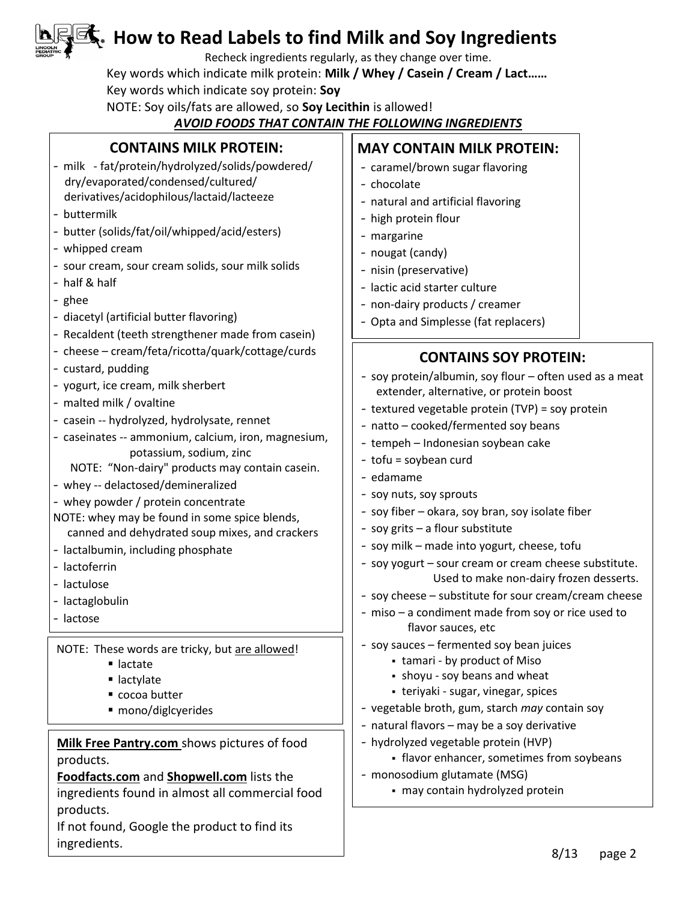## **How to Read Labels to find Milk and Soy Ingredients**

Recheck ingredients regularly, as they change over time.

Key words which indicate milk protein: **Milk / Whey / Casein / Cream / Lact……** 

Key words which indicate soy protein: **Soy**

NOTE: Soy oils/fats are allowed, so **Soy Lecithin** is allowed!

### *AVOID FOODS THAT CONTAIN THE FOLLOWING INGREDIENTS*

| <b>CONTAINS MILK PROTEIN:</b><br>- milk - fat/protein/hydrolyzed/solids/powdered/<br>dry/evaporated/condensed/cultured/<br>derivatives/acidophilous/lactaid/lacteeze<br>- buttermilk<br>- butter (solids/fat/oil/whipped/acid/esters)<br>- whipped cream<br>- sour cream, sour cream solids, sour milk solids<br>- half & half<br>- ghee<br>- diacetyl (artificial butter flavoring)<br>- Recaldent (teeth strengthener made from casein)                                                                                                                                                                          | <b>MAY CONTAIN MILK PROTEIN:</b><br>- caramel/brown sugar flavoring<br>- chocolate<br>- natural and artificial flavoring<br>- high protein flour<br>- margarine<br>- nougat (candy)<br>- nisin (preservative)<br>- lactic acid starter culture<br>- non-dairy products / creamer<br>- Opta and Simplesse (fat replacers)                                                                                                                                                                                                                                                                                                                                                                        |  |  |
|--------------------------------------------------------------------------------------------------------------------------------------------------------------------------------------------------------------------------------------------------------------------------------------------------------------------------------------------------------------------------------------------------------------------------------------------------------------------------------------------------------------------------------------------------------------------------------------------------------------------|-------------------------------------------------------------------------------------------------------------------------------------------------------------------------------------------------------------------------------------------------------------------------------------------------------------------------------------------------------------------------------------------------------------------------------------------------------------------------------------------------------------------------------------------------------------------------------------------------------------------------------------------------------------------------------------------------|--|--|
| - cheese - cream/feta/ricotta/quark/cottage/curds<br>- custard, pudding<br>- yogurt, ice cream, milk sherbert<br>- malted milk / ovaltine<br>- casein -- hydrolyzed, hydrolysate, rennet<br>- caseinates -- ammonium, calcium, iron, magnesium,<br>potassium, sodium, zinc<br>NOTE: "Non-dairy" products may contain casein.<br>- whey -- delactosed/demineralized<br>- whey powder / protein concentrate<br>NOTE: whey may be found in some spice blends,<br>canned and dehydrated soup mixes, and crackers<br>- lactalbumin, including phosphate<br>- lactoferrin<br>- lactulose<br>- lactaglobulin<br>- lactose | <b>CONTAINS SOY PROTEIN:</b><br>- soy protein/albumin, soy flour - often used as a meat<br>extender, alternative, or protein boost<br>- textured vegetable protein (TVP) = soy protein<br>- natto - cooked/fermented soy beans<br>- tempeh - Indonesian soybean cake<br>- tofu = soybean curd<br>- edamame<br>- soy nuts, soy sprouts<br>- soy fiber - okara, soy bran, soy isolate fiber<br>- soy grits - a flour substitute<br>- soy milk - made into yogurt, cheese, tofu<br>- soy yogurt - sour cream or cream cheese substitute.<br>Used to make non-dairy frozen desserts.<br>- soy cheese - substitute for sour cream/cream cheese<br>- miso - a condiment made from soy or rice used to |  |  |
| NOTE: These words are tricky, but are allowed!<br>lactate<br>■ lactylate<br>cocoa butter<br>mono/diglcyerides<br>Milk Free Pantry.com shows pictures of food<br>products.<br>Foodfacts.com and Shopwell.com lists the<br>ingredients found in almost all commercial food<br>products.                                                                                                                                                                                                                                                                                                                              | flavor sauces, etc<br>- soy sauces - fermented soy bean juices<br>- tamari - by product of Miso<br>• shoyu - soy beans and wheat<br>- teriyaki - sugar, vinegar, spices<br>- vegetable broth, gum, starch may contain soy<br>- natural flavors - may be a soy derivative<br>- hydrolyzed vegetable protein (HVP)<br>• flavor enhancer, sometimes from soybeans<br>- monosodium glutamate (MSG)<br>- may contain hydrolyzed protein                                                                                                                                                                                                                                                              |  |  |
| If not found, Google the product to find its<br>ingredients.                                                                                                                                                                                                                                                                                                                                                                                                                                                                                                                                                       | Q/12<br>0.2092                                                                                                                                                                                                                                                                                                                                                                                                                                                                                                                                                                                                                                                                                  |  |  |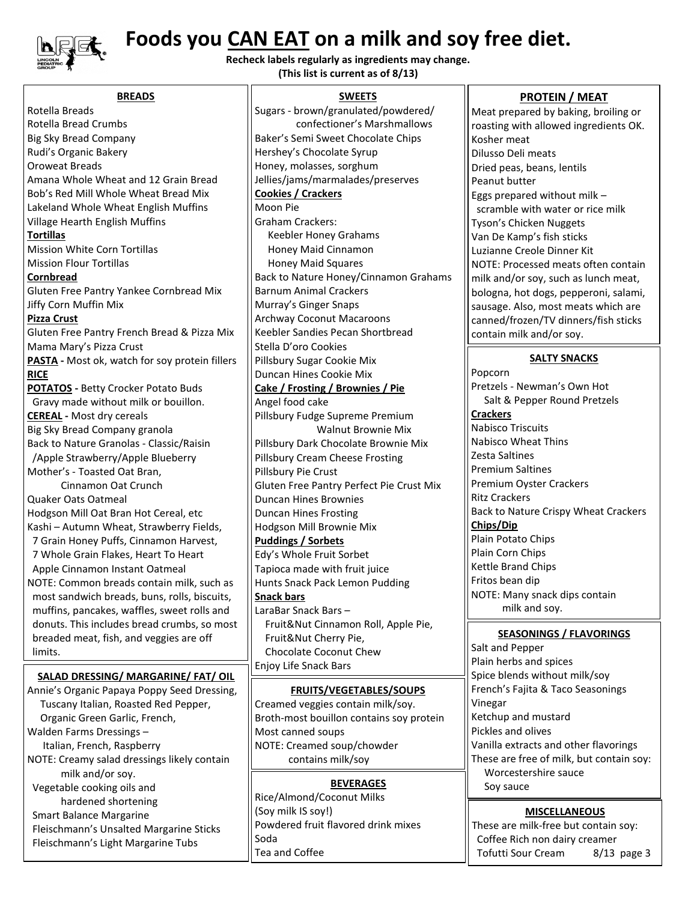

Walden Farms Dressings – Italian, French, Raspberry

 milk and/or soy. Vegetable cooking oils and hardened shortening

Smart Balance Margarine

NOTE: Creamy salad dressings likely contain

Fleischmann's Unsalted Margarine Sticks Fleischmann's Light Margarine Tubs

## **Foods you CAN EAT on a milk and soy free diet.**

**Recheck labels regularly as ingredients may change. (This list is current as of 8/13)**

| <b>BREADS</b>                                  | <b>SWEETS</b>                            |  |  |
|------------------------------------------------|------------------------------------------|--|--|
| Rotella Breads                                 | Sugars - brown/granulated/powdered/      |  |  |
| Rotella Bread Crumbs                           | confectioner's Marshmallows              |  |  |
| <b>Big Sky Bread Company</b>                   | Baker's Semi Sweet Chocolate Chips       |  |  |
| Rudi's Organic Bakery                          | Hershey's Chocolate Syrup                |  |  |
| Oroweat Breads                                 | Honey, molasses, sorghum                 |  |  |
| Amana Whole Wheat and 12 Grain Bread           | Jellies/jams/marmalades/preserves        |  |  |
| Bob's Red Mill Whole Wheat Bread Mix           | <b>Cookies / Crackers</b>                |  |  |
| Lakeland Whole Wheat English Muffins           | Moon Pie                                 |  |  |
| Village Hearth English Muffins                 | <b>Graham Crackers:</b>                  |  |  |
| <b>Tortillas</b>                               | Keebler Honey Grahams                    |  |  |
| <b>Mission White Corn Tortillas</b>            | Honey Maid Cinnamon                      |  |  |
| <b>Mission Flour Tortillas</b>                 | <b>Honey Maid Squares</b>                |  |  |
| <b>Cornbread</b>                               | Back to Nature Honey/Cinnamon Grahams    |  |  |
| Gluten Free Pantry Yankee Cornbread Mix        | <b>Barnum Animal Crackers</b>            |  |  |
| Jiffy Corn Muffin Mix                          | Murray's Ginger Snaps                    |  |  |
| <b>Pizza Crust</b>                             | <b>Archway Coconut Macaroons</b>         |  |  |
| Gluten Free Pantry French Bread & Pizza Mix    | Keebler Sandies Pecan Shortbread         |  |  |
| Mama Mary's Pizza Crust                        | Stella D'oro Cookies                     |  |  |
| PASTA - Most ok, watch for soy protein fillers | Pillsbury Sugar Cookie Mix               |  |  |
| <b>RICE</b>                                    | Duncan Hines Cookie Mix                  |  |  |
| <b>POTATOS</b> - Betty Crocker Potato Buds     | <b>Cake / Frosting / Brownies / Pie</b>  |  |  |
| Gravy made without milk or bouillon.           | Angel food cake                          |  |  |
| <b>CEREAL</b> - Most dry cereals               | Pillsbury Fudge Supreme Premium          |  |  |
| Big Sky Bread Company granola                  | <b>Walnut Brownie Mix</b>                |  |  |
| Back to Nature Granolas - Classic/Raisin       | Pillsbury Dark Chocolate Brownie Mix     |  |  |
| /Apple Strawberry/Apple Blueberry              | Pillsbury Cream Cheese Frosting          |  |  |
| Mother's - Toasted Oat Bran,                   | Pillsbury Pie Crust                      |  |  |
| Cinnamon Oat Crunch                            | Gluten Free Pantry Perfect Pie Crust Mix |  |  |
| Quaker Oats Oatmeal                            | <b>Duncan Hines Brownies</b>             |  |  |
| Hodgson Mill Oat Bran Hot Cereal, etc          | <b>Duncan Hines Frosting</b>             |  |  |
| Kashi - Autumn Wheat, Strawberry Fields,       | Hodgson Mill Brownie Mix                 |  |  |
| 7 Grain Honey Puffs, Cinnamon Harvest,         | <b>Puddings / Sorbets</b>                |  |  |
| 7 Whole Grain Flakes, Heart To Heart           | Edy's Whole Fruit Sorbet                 |  |  |
| Apple Cinnamon Instant Oatmeal                 | Tapioca made with fruit juice            |  |  |
| NOTE: Common breads contain milk, such as      | Hunts Snack Pack Lemon Pudding           |  |  |
| most sandwich breads, buns, rolls, biscuits,   | <b>Snack bars</b>                        |  |  |
| muffins, pancakes, waffles, sweet rolls and    | LaraBar Snack Bars-                      |  |  |
| donuts. This includes bread crumbs, so most    | Fruit&Nut Cinnamon Roll, Apple Pie,      |  |  |
| breaded meat, fish, and veggies are off        | Fruit&Nut Cherry Pie,                    |  |  |
| limits.                                        | Chocolate Coconut Chew                   |  |  |
| SALAD DRESSING/ MARGARINE/ FAT/ OIL            | Enjoy Life Snack Bars                    |  |  |
| Annie's Organic Papaya Poppy Seed Dressing,    | <b>FRUITS/VEGETABLES/SOUPS</b>           |  |  |
| Tuscany Italian, Roasted Red Pepper,           | Creamed veggies contain milk/soy.        |  |  |
| Organic Green Garlic, French,                  | Broth-most bouillon contains soy protein |  |  |

Most canned soups

(Soy milk IS soy!)

Tea and Coffee Milk free cocoa

Soda

NOTE: Creamed soup/chowder contains milk/soy

Rice/Almond/Coconut Milks

Powdered fruit flavored drink mixes

**BEVERAGES**

Meat prepared by baking, broiling or roasting with allowed ingredients OK. Kosher meat Dilusso Deli meats Dried peas, beans, lentils Peanut butter Eggs prepared without milk – scramble with water or rice milk Tyson's Chicken Nuggets Van De Kamp's fish sticks Luzianne Creole Dinner Kit NOTE: Processed meats often contain milk and/or soy, such as lunch meat, bologna, hot dogs, pepperoni, salami, sausage. Also, most meats which are canned/frozen/TV dinners/fish sticks contain milk and/or soy.

**PROTEIN / MEAT**

#### **SALTY SNACKS**

Popcorn Pretzels - Newman's Own Hot Salt & Pepper Round Pretzels **Crackers** Nabisco Triscuits Nabisco Wheat Thins Zesta Saltines Premium Saltines Premium Oyster Crackers Ritz Crackers Back to Nature Crispy Wheat Crackers **Chips/Dip** Plain Potato Chips Plain Corn Chips Kettle Brand Chips Fritos bean dip NOTE: Many snack dips contain milk and soy.

#### **SEASONINGS / FLAVORINGS**

Salt and Pepper Plain herbs and spices Spice blends without milk/soy French's Fajita & Taco Seasonings Vinegar Ketchup and mustard Pickles and olives Vanilla extracts and other flavorings These are free of milk, but contain soy: Worcestershire sauce Soy sauce

#### **MISCELLANEOUS**

These are milk-free but contain soy: Coffee Rich non dairy creamer Tofutti Sour Cream 8/13 page 3